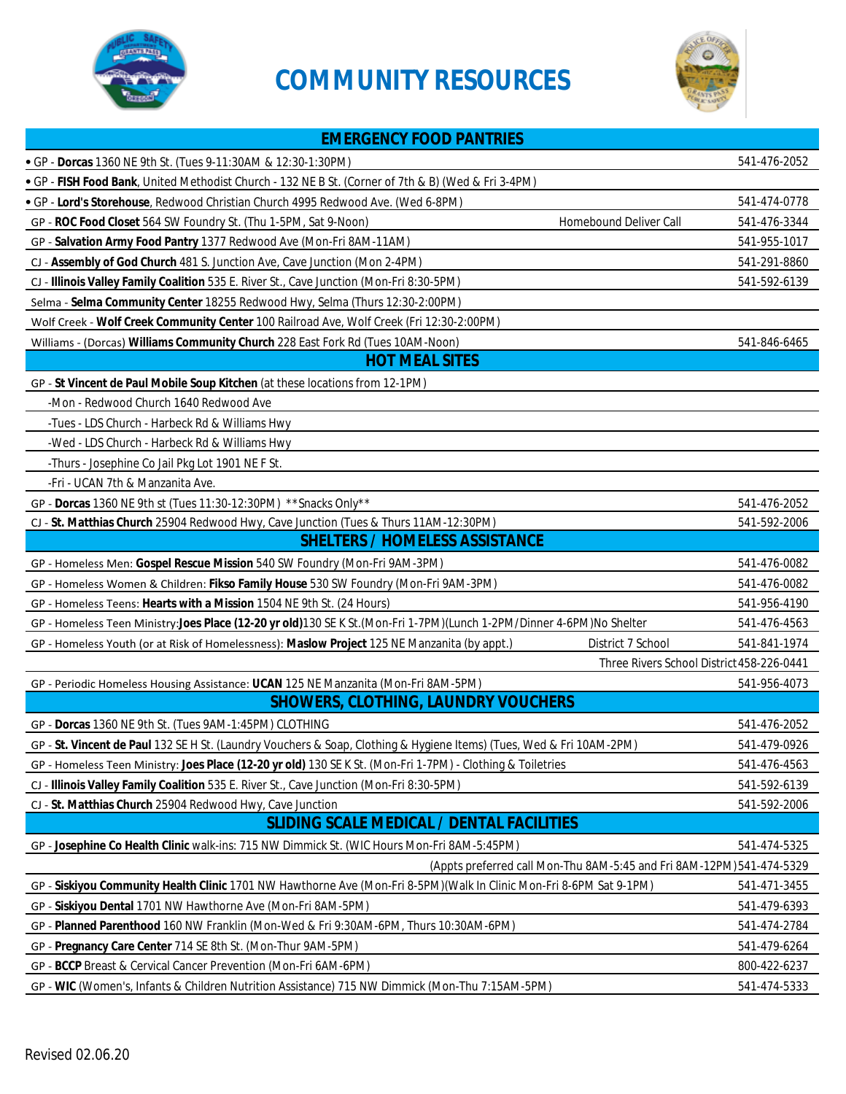

## **COMMUNITY RESOURCES**



| <b>EMERGENCY FOOD PANTRIES</b>                                                                                          |                                                                       |              |
|-------------------------------------------------------------------------------------------------------------------------|-----------------------------------------------------------------------|--------------|
| • GP - Dorcas 1360 NE 9th St. (Tues 9-11:30AM & 12:30-1:30PM)                                                           |                                                                       | 541-476-2052 |
| . GP - FISH Food Bank, United Methodist Church - 132 NE B St. (Corner of 7th & B) (Wed & Fri 3-4PM)                     |                                                                       |              |
| · GP - Lord's Storehouse, Redwood Christian Church 4995 Redwood Ave. (Wed 6-8PM)                                        |                                                                       | 541-474-0778 |
| GP - ROC Food Closet 564 SW Foundry St. (Thu 1-5PM, Sat 9-Noon)                                                         | Homebound Deliver Call                                                | 541-476-3344 |
| GP - Salvation Army Food Pantry 1377 Redwood Ave (Mon-Fri 8AM-11AM)                                                     |                                                                       | 541-955-1017 |
| CJ - Assembly of God Church 481 S. Junction Ave, Cave Junction (Mon 2-4PM)                                              |                                                                       | 541-291-8860 |
| CJ - Illinois Valley Family Coalition 535 E. River St., Cave Junction (Mon-Fri 8:30-5PM)                                |                                                                       | 541-592-6139 |
| Selma - Selma Community Center 18255 Redwood Hwy, Selma (Thurs 12:30-2:00PM)                                            |                                                                       |              |
| Wolf Creek - Wolf Creek Community Center 100 Railroad Ave, Wolf Creek (Fri 12:30-2:00PM)                                |                                                                       |              |
| Williams - (Dorcas) Williams Community Church 228 East Fork Rd (Tues 10AM-Noon)                                         |                                                                       | 541-846-6465 |
| <b>HOT MEAL SITES</b>                                                                                                   |                                                                       |              |
| GP - St Vincent de Paul Mobile Soup Kitchen (at these locations from 12-1PM)                                            |                                                                       |              |
| -Mon - Redwood Church 1640 Redwood Ave                                                                                  |                                                                       |              |
| -Tues - LDS Church - Harbeck Rd & Williams Hwy                                                                          |                                                                       |              |
| -Wed - LDS Church - Harbeck Rd & Williams Hwy                                                                           |                                                                       |              |
| -Thurs - Josephine Co Jail Pkg Lot 1901 NE F St.                                                                        |                                                                       |              |
| -Fri - UCAN 7th & Manzanita Ave.                                                                                        |                                                                       |              |
| GP - Dorcas 1360 NE 9th st (Tues 11:30-12:30PM) ** Snacks Only**                                                        |                                                                       | 541-476-2052 |
| CJ - St. Matthias Church 25904 Redwood Hwy, Cave Junction (Tues & Thurs 11AM-12:30PM)                                   |                                                                       | 541-592-2006 |
| <b>SHELTERS / HOMELESS ASSISTANCE</b>                                                                                   |                                                                       |              |
| GP - Homeless Men: Gospel Rescue Mission 540 SW Foundry (Mon-Fri 9AM-3PM)                                               |                                                                       | 541-476-0082 |
| GP - Homeless Women & Children: Fikso Family House 530 SW Foundry (Mon-Fri 9AM-3PM)                                     |                                                                       | 541-476-0082 |
| GP - Homeless Teens: Hearts with a Mission 1504 NE 9th St. (24 Hours)                                                   |                                                                       | 541-956-4190 |
| GP - Homeless Teen Ministry:Joes Place (12-20 yr old)130 SE K St. (Mon-Fri 1-7PM) (Lunch 1-2PM/Dinner 4-6PM) No Shelter |                                                                       | 541-476-4563 |
| GP - Homeless Youth (or at Risk of Homelessness): Maslow Project 125 NE Manzanita (by appt.)                            | District 7 School                                                     | 541-841-1974 |
|                                                                                                                         | Three Rivers School District 458-226-0441                             |              |
| GP - Periodic Homeless Housing Assistance: UCAN 125 NE Manzanita (Mon-Fri 8AM-5PM)                                      |                                                                       | 541-956-4073 |
| <b>SHOWERS, CLOTHING, LAUNDRY VOUCHERS</b>                                                                              |                                                                       |              |
| GP - Dorcas 1360 NE 9th St. (Tues 9AM-1:45PM) CLOTHING                                                                  |                                                                       | 541-476-2052 |
| GP - St. Vincent de Paul 132 SE H St. (Laundry Vouchers & Soap, Clothing & Hygiene Items) (Tues, Wed & Fri 10AM-2PM)    |                                                                       | 541-479-0926 |
| GP - Homeless Teen Ministry: Joes Place (12-20 yr old) 130 SE K St. (Mon-Fri 1-7PM) - Clothing & Toiletries             |                                                                       | 541-476-4563 |
| CJ - Illinois Valley Family Coalition 535 E. River St., Cave Junction (Mon-Fri 8:30-5PM)                                |                                                                       | 541-592-6139 |
| CJ - St. Matthias Church 25904 Redwood Hwy, Cave Junction                                                               |                                                                       | 541-592-2006 |
| <b>SLIDING SCALE MEDICAL / DENTAL FACILITIES</b>                                                                        |                                                                       |              |
| GP - Josephine Co Health Clinic walk-ins: 715 NW Dimmick St. (WIC Hours Mon-Fri 8AM-5:45PM)                             |                                                                       | 541-474-5325 |
|                                                                                                                         | (Appts preferred call Mon-Thu 8AM-5:45 and Fri 8AM-12PM) 541-474-5329 |              |
| GP - Siskiyou Community Health Clinic 1701 NW Hawthorne Ave (Mon-Fri 8-5PM) (Walk In Clinic Mon-Fri 8-6PM Sat 9-1PM)    |                                                                       | 541-471-3455 |
| GP - Siskiyou Dental 1701 NW Hawthorne Ave (Mon-Fri 8AM-5PM)                                                            |                                                                       | 541-479-6393 |
| GP - Planned Parenthood 160 NW Franklin (Mon-Wed & Fri 9:30AM-6PM, Thurs 10:30AM-6PM)                                   |                                                                       | 541-474-2784 |
| GP - Pregnancy Care Center 714 SE 8th St. (Mon-Thur 9AM-5PM)                                                            |                                                                       | 541-479-6264 |
| GP - BCCP Breast & Cervical Cancer Prevention (Mon-Fri 6AM-6PM)                                                         |                                                                       | 800-422-6237 |
| GP - WIC (Women's, Infants & Children Nutrition Assistance) 715 NW Dimmick (Mon-Thu 7:15AM-5PM)                         |                                                                       | 541-474-5333 |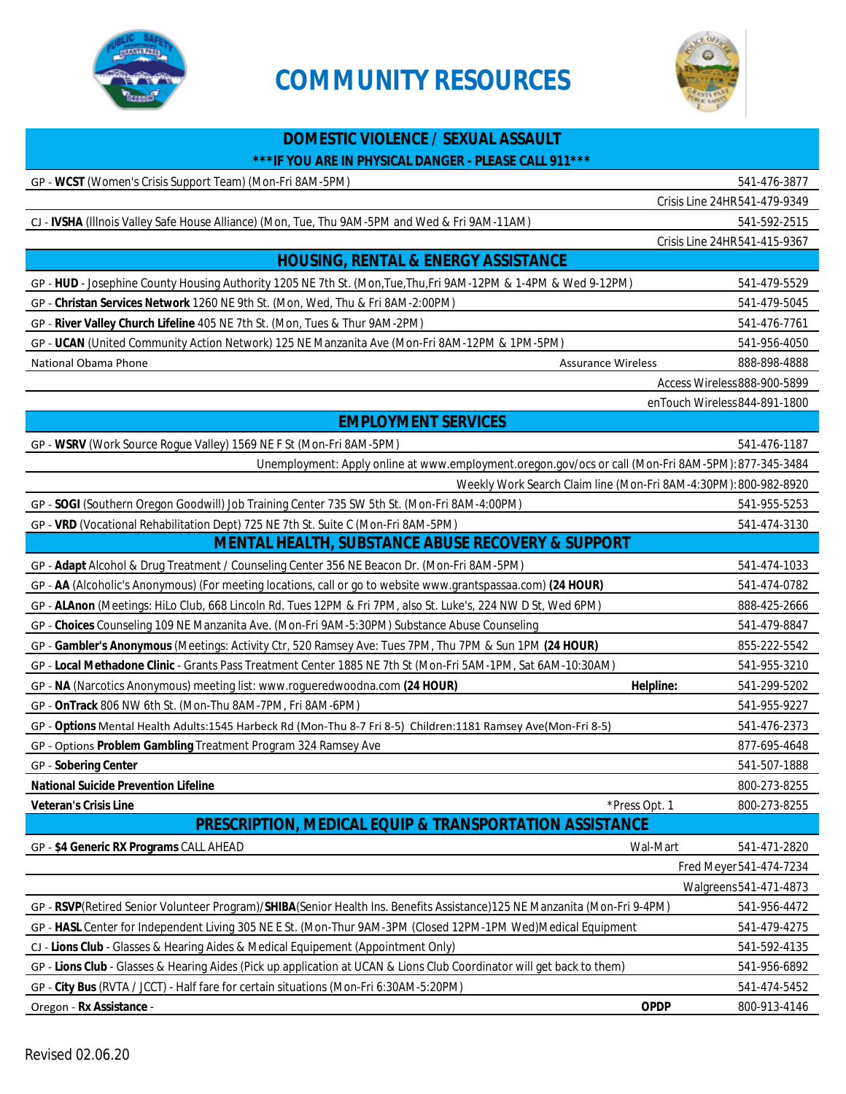

## **COMMUNITY RESOURCES**



| <b>DOMESTIC VIOLENCE / SEXUAL ASSAULT</b>                                                                                 |                                             |  |
|---------------------------------------------------------------------------------------------------------------------------|---------------------------------------------|--|
| *** IF YOU ARE IN PHYSICAL DANGER - PLEASE CALL 911***                                                                    |                                             |  |
| GP - WCST (Women's Crisis Support Team) (Mon-Fri 8AM-5PM)                                                                 | 541-476-3877                                |  |
|                                                                                                                           | Crisis Line 24HR541-479-9349                |  |
| CJ - IVSHA (Illnois Valley Safe House Alliance) (Mon, Tue, Thu 9AM-5PM and Wed & Fri 9AM-11AM)                            | 541-592-2515                                |  |
|                                                                                                                           | Crisis Line 24HR541-415-9367                |  |
| <b>HOUSING, RENTAL &amp; ENERGY ASSISTANCE</b>                                                                            |                                             |  |
| GP - HUD - Josephine County Housing Authority 1205 NE 7th St. (Mon, Tue, Thu, Fri 9AM-12PM & 1-4PM & Wed 9-12PM)          | 541-479-5529                                |  |
| GP - Christan Services Network 1260 NE 9th St. (Mon, Wed, Thu & Fri 8AM-2:00PM)                                           | 541-479-5045                                |  |
| GP - River Valley Church Lifeline 405 NE 7th St. (Mon, Tues & Thur 9AM-2PM)                                               | 541-476-7761                                |  |
| GP - UCAN (United Community Action Network) 125 NE Manzanita Ave (Mon-Fri 8AM-12PM & 1PM-5PM)                             | 541-956-4050                                |  |
| National Obama Phone<br><b>Assurance Wireless</b>                                                                         | 888-898-4888                                |  |
|                                                                                                                           | Access Wireless 888-900-5899                |  |
|                                                                                                                           | enTouch Wireless 844-891-1800               |  |
| <b>EMPLOYMENT SERVICES</b>                                                                                                |                                             |  |
| GP - WSRV (Work Source Rogue Valley) 1569 NE F St (Mon-Fri 8AM-5PM)                                                       | 541-476-1187                                |  |
| Unemployment: Apply online at www.employment.oregon.gov/ocs or call (Mon-Fri 8AM-5PM): 877-345-3484                       |                                             |  |
| Weekly Work Search Claim line (Mon-Fri 8AM-4:30PM): 800-982-8920                                                          |                                             |  |
| GP - SOGI (Southern Oregon Goodwill) Job Training Center 735 SW 5th St. (Mon-Fri 8AM-4:00PM)                              | 541-955-5253                                |  |
| GP - VRD (Vocational Rehabilitation Dept) 725 NE 7th St. Suite C (Mon-Fri 8AM-5PM)                                        | 541-474-3130                                |  |
| <b>MENTAL HEALTH, SUBSTANCE ABUSE RECOVERY &amp; SUPPORT</b>                                                              |                                             |  |
| GP - Adapt Alcohol & Drug Treatment / Counseling Center 356 NE Beacon Dr. (Mon-Fri 8AM-5PM)                               | 541-474-1033                                |  |
| GP - AA (Alcoholic's Anonymous) (For meeting locations, call or go to website www.grantspassaa.com) (24 HOUR)             | 541-474-0782                                |  |
| GP - ALAnon (Meetings: HiLo Club, 668 Lincoln Rd. Tues 12PM & Fri 7PM, also St. Luke's, 224 NW D St, Wed 6PM)             | 888-425-2666                                |  |
| GP - Choices Counseling 109 NE Manzanita Ave. (Mon-Fri 9AM-5:30PM) Substance Abuse Counseling                             | 541-479-8847                                |  |
| GP - Gambler's Anonymous (Meetings: Activity Ctr, 520 Ramsey Ave: Tues 7PM, Thu 7PM & Sun 1PM (24 HOUR)                   | 855-222-5542                                |  |
| GP - Local Methadone Clinic - Grants Pass Treatment Center 1885 NE 7th St (Mon-Fri 5AM-1PM, Sat 6AM-10:30AM)              | 541-955-3210                                |  |
| GP - NA (Narcotics Anonymous) meeting list: www.rogueredwoodna.com (24 HOUR)                                              | Helpline:<br>541-299-5202                   |  |
| GP - OnTrack 806 NW 6th St. (Mon-Thu 8AM-7PM, Fri 8AM-6PM)                                                                | 541-955-9227                                |  |
| GP - Options Mental Health Adults:1545 Harbeck Rd (Mon-Thu 8-7 Fri 8-5) Children:1181 Ramsey Ave(Mon-Fri 8-5)             | 541-476-2373                                |  |
| GP - Options Problem Gambling Treatment Program 324 Ramsey Ave                                                            | 877-695-4648                                |  |
| <b>GP - Sobering Center</b>                                                                                               | 541-507-1888                                |  |
| <b>National Suicide Prevention Lifeline</b>                                                                               | 800-273-8255                                |  |
| <b>Veteran's Crisis Line</b><br>*Press Opt. 1                                                                             | 800-273-8255                                |  |
| <b>PRESCRIPTION, MEDICAL EQUIP &amp; TRANSPORTATION ASSISTANCE</b>                                                        |                                             |  |
| GP - \$4 Generic RX Programs CALL AHEAD                                                                                   | Wal-Mart<br>541-471-2820                    |  |
|                                                                                                                           | Fred Meyer 541-474-7234                     |  |
|                                                                                                                           | Walgreens 541-471-4873                      |  |
| GP - RSVP(Retired Senior Volunteer Program)/SHIBA(Senior Health Ins. Benefits Assistance)125 NE Manzanita (Mon-Fri 9-4PM) | 541-956-4472                                |  |
| GP - HASL Center for Independent Living 305 NE E St. (Mon-Thur 9AM-3PM (Closed 12PM-1PM Wed)Medical Equipment             | 541-479-4275                                |  |
| CJ - Lions Club - Glasses & Hearing Aides & Medical Equipement (Appointment Only)                                         |                                             |  |
| GP - Lions Club - Glasses & Hearing Aides (Pick up application at UCAN & Lions Club Coordinator will get back to them)    |                                             |  |
| GP - City Bus (RVTA / JCCT) - Half fare for certain situations (Mon-Fri 6:30AM-5:20PM)                                    |                                             |  |
| Oregon - Rx Assistance -                                                                                                  | 541-474-5452<br><b>OPDP</b><br>800-913-4146 |  |